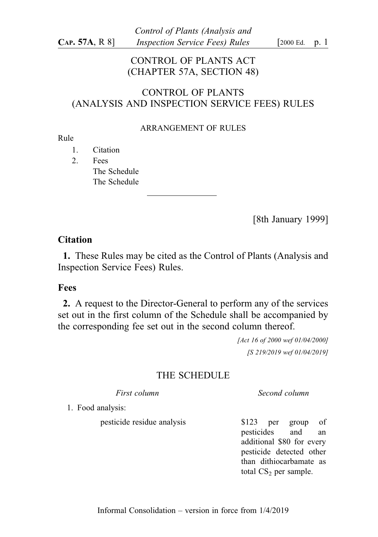## CONTROL OF PLANTS ACT (CHAPTER 57A, SECTION 48)

## CONTROL OF PLANTS (ANALYSIS AND INSPECTION SERVICE FEES) RULES

#### ARRANGEMENT OF RULES

#### Rule

- 1. Citation
- 2. Fees The Schedule The Schedule

[8th January 1999]

### **Citation**

1. These Rules may be cited as the Control of Plants (Analysis and Inspection Service Fees) Rules.

#### Fees

2. A request to the Director-General to perform any of the services set out in the first column of the Schedule shall be accompanied by the corresponding fee set out in the second column thereof.

> [Act 16 of 2000 wef 01/04/2000] [S 219/2019 wef 01/04/2019]

## THE SCHEDULE

First column . Second column . Second column

1. Food analysis:

pesticide residue analysis \$123 per group of

pesticides and an additional \$80 for every pesticide detected other than dithiocarbamate as total  $CS_2$  per sample.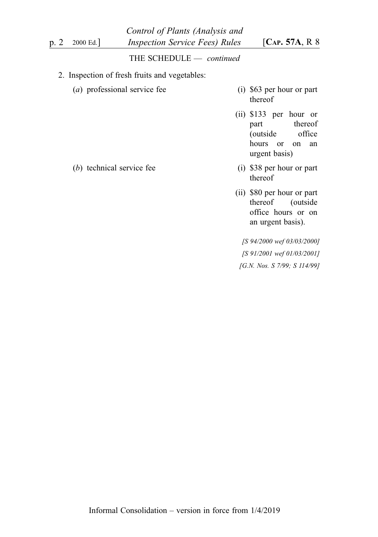|      |                              | Control of Plants (Analysis and               |                                                                                                         |
|------|------------------------------|-----------------------------------------------|---------------------------------------------------------------------------------------------------------|
| p. 2 | 2000 Ed.                     | <i>Inspection Service Fees) Rules</i>         | [ $CAP. 57A, R$ 8                                                                                       |
|      |                              | THE SCHEDULE - continued                      |                                                                                                         |
|      |                              | 2. Inspection of fresh fruits and vegetables: |                                                                                                         |
|      | (a) professional service fee |                                               | (i) \$63 per hour or part<br>thereof                                                                    |
|      |                              |                                               | $(ii)$ \$133 per hour or<br>part thereof<br>office<br>(outside<br>hours<br>or on<br>an<br>urgent basis) |
|      | technical service fee<br>(b) |                                               | $(i)$ \$38 per hour or part                                                                             |

(ii) \$80 per hour or part<br>thereof (outside (outside office hours or on an urgent basis).

thereof

[S 94/2000 wef 03/03/2000] [S 91/2001 wef 01/03/2001] [G.N. Nos. S 7/99; S 114/99]